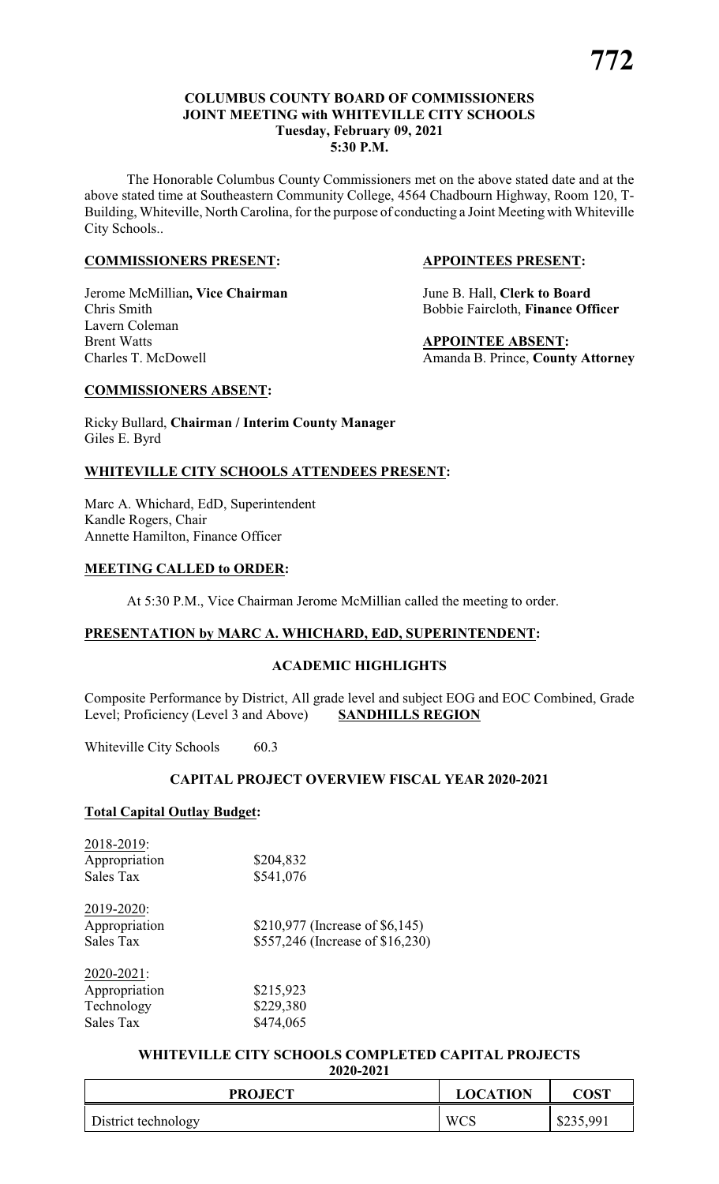#### **COLUMBUS COUNTY BOARD OF COMMISSIONERS JOINT MEETING with WHITEVILLE CITY SCHOOLS Tuesday, February 09, 2021 5:30 P.M.**

The Honorable Columbus County Commissioners met on the above stated date and at the above stated time at Southeastern Community College, 4564 Chadbourn Highway, Room 120, T-Building, Whiteville, North Carolina, for the purpose of conducting a Joint Meeting with Whiteville City Schools..

#### **COMMISSIONERS PRESENT: APPOINTEES PRESENT:**

Jerome McMillian**, Vice Chairman** June B. Hall, **Clerk to Board** Chris Smith Bobbie Faircloth, **Finance Officer** Lavern Coleman

**APPOINTEE ABSENT:** Charles T. McDowell **Amanda B. Prince, County Attorney** 

#### **COMMISSIONERS ABSENT:**

Ricky Bullard, **Chairman / Interim County Manager** Giles E. Byrd

#### **WHITEVILLE CITY SCHOOLS ATTENDEES PRESENT:**

Marc A. Whichard, EdD, Superintendent Kandle Rogers, Chair Annette Hamilton, Finance Officer

#### **MEETING CALLED to ORDER:**

At 5:30 P.M., Vice Chairman Jerome McMillian called the meeting to order.

#### **PRESENTATION by MARC A. WHICHARD, EdD, SUPERINTENDENT:**

#### **ACADEMIC HIGHLIGHTS**

Composite Performance by District, All grade level and subject EOG and EOC Combined, Grade Level; Proficiency (Level 3 and Above) **SANDHILLS REGION**

Whiteville City Schools 60.3

#### **CAPITAL PROJECT OVERVIEW FISCAL YEAR 2020-2021**

#### **Total Capital Outlay Budget:**

| 2018-2019:    |           |
|---------------|-----------|
| Appropriation | \$204,832 |
| Sales Tax     | \$541,076 |

| 2019-2020:    |                                  |
|---------------|----------------------------------|
| Appropriation | \$210,977 (Increase of \$6,145)  |
| Sales Tax     | \$557,246 (Increase of \$16,230) |

| 2020-2021:    |           |
|---------------|-----------|
| Appropriation | \$215,923 |
| Technology    | \$229,380 |
| Sales Tax     | \$474,065 |

## **WHITEVILLE CITY SCHOOLS COMPLETED CAPITAL PROJECTS**

| 2020-2021 |  |
|-----------|--|
|-----------|--|

| <b>PROJECT</b>      | <b>LOCATION</b> | $\mathbf{C}\mathbf{OST}$ |
|---------------------|-----------------|--------------------------|
| District technology | WCS             | \$235,991                |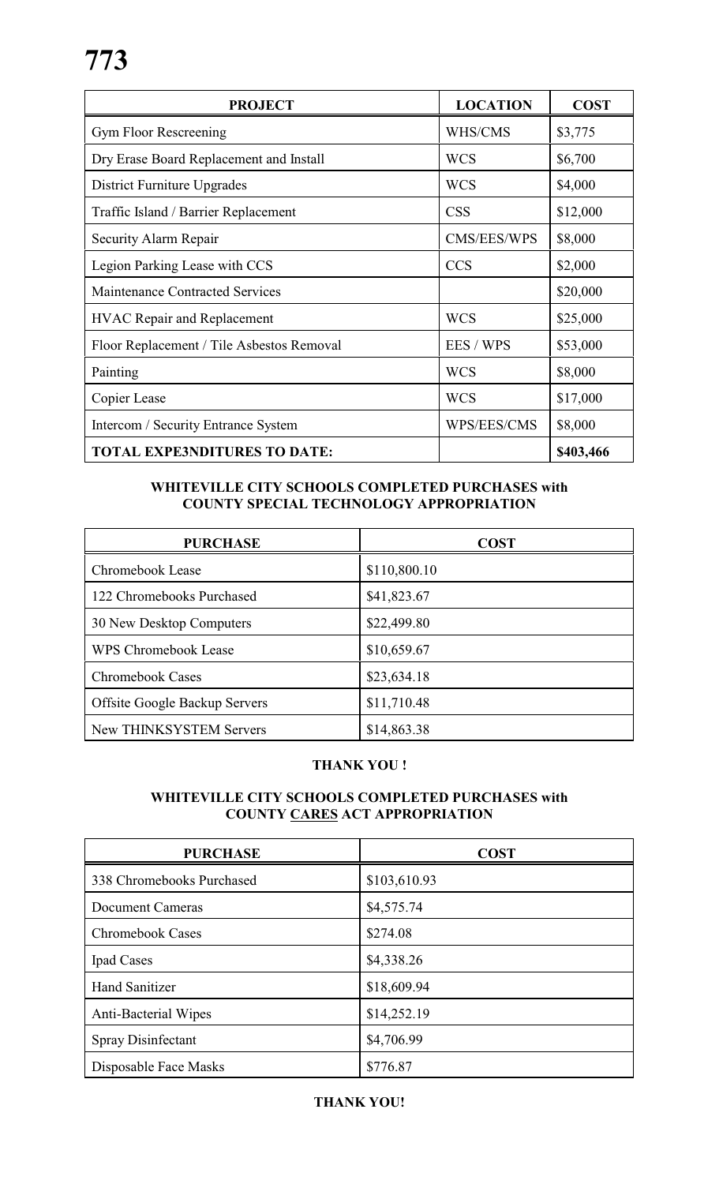| <b>PROJECT</b>                            | <b>LOCATION</b> | <b>COST</b> |
|-------------------------------------------|-----------------|-------------|
| Gym Floor Rescreening                     | WHS/CMS         | \$3,775     |
| Dry Erase Board Replacement and Install   | <b>WCS</b>      | \$6,700     |
| District Furniture Upgrades               | <b>WCS</b>      | \$4,000     |
| Traffic Island / Barrier Replacement      | <b>CSS</b>      | \$12,000    |
| Security Alarm Repair                     | CMS/EES/WPS     | \$8,000     |
| Legion Parking Lease with CCS             | <b>CCS</b>      | \$2,000     |
| Maintenance Contracted Services           |                 | \$20,000    |
| <b>HVAC Repair and Replacement</b>        | <b>WCS</b>      | \$25,000    |
| Floor Replacement / Tile Asbestos Removal | EES / WPS       | \$53,000    |
| Painting                                  | <b>WCS</b>      | \$8,000     |
| Copier Lease                              | <b>WCS</b>      | \$17,000    |
| Intercom / Security Entrance System       | WPS/EES/CMS     | \$8,000     |
| <b>TOTAL EXPE3NDITURES TO DATE:</b>       |                 | \$403,466   |

#### **WHITEVILLE CITY SCHOOLS COMPLETED PURCHASES with COUNTY SPECIAL TECHNOLOGY APPROPRIATION**

| <b>PURCHASE</b>                      | <b>COST</b>  |
|--------------------------------------|--------------|
| Chromebook Lease                     | \$110,800.10 |
| 122 Chromebooks Purchased            | \$41,823.67  |
| 30 New Desktop Computers             | \$22,499.80  |
| <b>WPS Chromebook Lease</b>          | \$10,659.67  |
| <b>Chromebook Cases</b>              | \$23,634.18  |
| <b>Offsite Google Backup Servers</b> | \$11,710.48  |
| <b>New THINKSYSTEM Servers</b>       | \$14,863.38  |

### **THANK YOU !**

#### **WHITEVILLE CITY SCHOOLS COMPLETED PURCHASES with COUNTY CARES ACT APPROPRIATION**

| <b>PURCHASE</b>             | <b>COST</b>  |
|-----------------------------|--------------|
| 338 Chromebooks Purchased   | \$103,610.93 |
| <b>Document Cameras</b>     | \$4,575.74   |
| <b>Chromebook Cases</b>     | \$274.08     |
| Ipad Cases                  | \$4,338.26   |
| <b>Hand Sanitizer</b>       | \$18,609.94  |
| <b>Anti-Bacterial Wipes</b> | \$14,252.19  |
| Spray Disinfectant          | \$4,706.99   |
| Disposable Face Masks       | \$776.87     |

#### **THANK YOU!**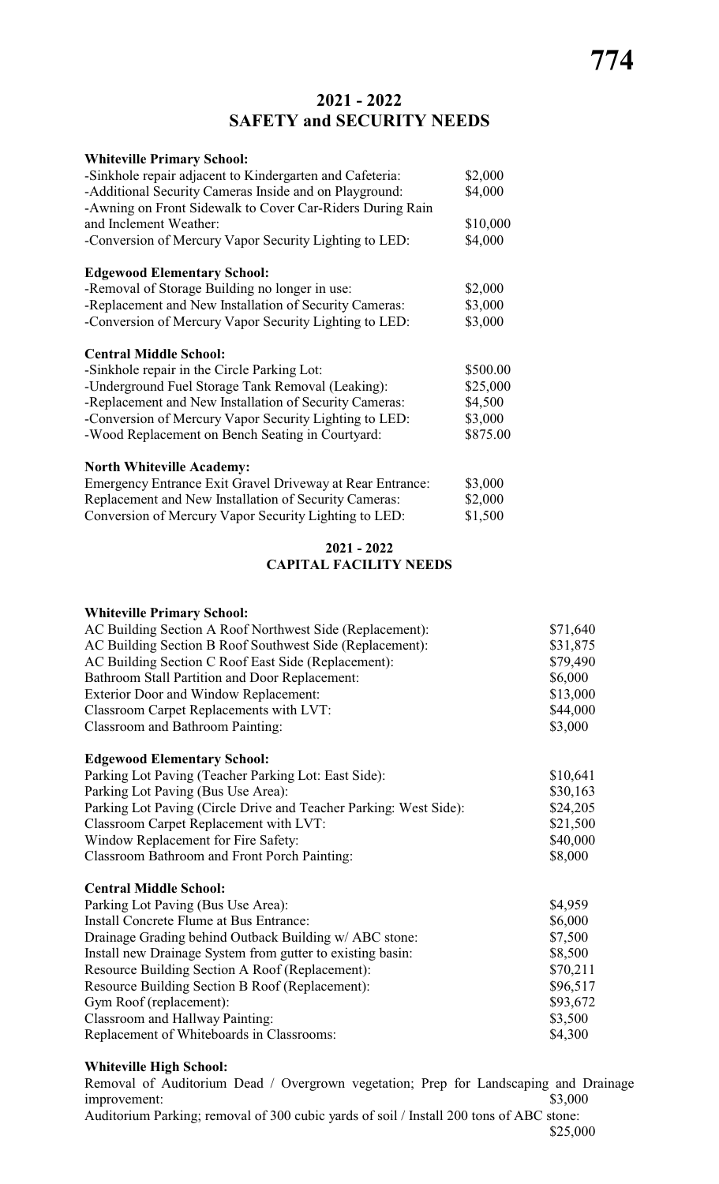# **2021 - 2022 SAFETY and SECURITY NEEDS**

| <b>Whiteville Primary School:</b>                                                                                   |          |
|---------------------------------------------------------------------------------------------------------------------|----------|
| -Sinkhole repair adjacent to Kindergarten and Cafeteria:                                                            | \$2,000  |
| -Additional Security Cameras Inside and on Playground:<br>-Awning on Front Sidewalk to Cover Car-Riders During Rain | \$4,000  |
| and Inclement Weather:                                                                                              | \$10,000 |
| -Conversion of Mercury Vapor Security Lighting to LED:                                                              | \$4,000  |
| <b>Edgewood Elementary School:</b>                                                                                  |          |
| -Removal of Storage Building no longer in use:                                                                      | \$2,000  |
| -Replacement and New Installation of Security Cameras:                                                              | \$3,000  |
| -Conversion of Mercury Vapor Security Lighting to LED:                                                              | \$3,000  |
| <b>Central Middle School:</b>                                                                                       |          |
| -Sinkhole repair in the Circle Parking Lot:                                                                         | \$500.00 |
| -Underground Fuel Storage Tank Removal (Leaking):                                                                   | \$25,000 |
| -Replacement and New Installation of Security Cameras:                                                              | \$4,500  |
| -Conversion of Mercury Vapor Security Lighting to LED:                                                              | \$3,000  |
| -Wood Replacement on Bench Seating in Courtyard:                                                                    | \$875.00 |
| <b>North Whiteville Academy:</b>                                                                                    |          |
| Emergency Entrance Exit Gravel Driveway at Rear Entrance:                                                           | \$3,000  |
| Replacement and New Installation of Security Cameras:                                                               | \$2,000  |
| Conversion of Mercury Vapor Security Lighting to LED:                                                               | \$1,500  |

#### **2021 - 2022 CAPITAL FACILITY NEEDS**

#### **Whiteville Primary School:**

| \$31,875<br>\$79,490<br>\$6,000<br>\$13,000<br>\$44,000<br>\$3,000<br>Classroom and Bathroom Painting:<br>\$10,641<br>\$30,163<br>\$24,205<br>\$21,500<br>Window Replacement for Fire Safety:<br>\$40,000<br>\$8,000<br>\$4,959<br>\$6,000<br>\$7,500<br>\$8,500<br>\$70,211<br>\$96,517<br>\$93,672<br>\$3,500<br>\$4,300 | AC Building Section A Roof Northwest Side (Replacement):          | \$71,640 |
|----------------------------------------------------------------------------------------------------------------------------------------------------------------------------------------------------------------------------------------------------------------------------------------------------------------------------|-------------------------------------------------------------------|----------|
|                                                                                                                                                                                                                                                                                                                            | AC Building Section B Roof Southwest Side (Replacement):          |          |
|                                                                                                                                                                                                                                                                                                                            | AC Building Section C Roof East Side (Replacement):               |          |
|                                                                                                                                                                                                                                                                                                                            | Bathroom Stall Partition and Door Replacement:                    |          |
|                                                                                                                                                                                                                                                                                                                            | <b>Exterior Door and Window Replacement:</b>                      |          |
|                                                                                                                                                                                                                                                                                                                            | Classroom Carpet Replacements with LVT:                           |          |
|                                                                                                                                                                                                                                                                                                                            |                                                                   |          |
|                                                                                                                                                                                                                                                                                                                            | <b>Edgewood Elementary School:</b>                                |          |
|                                                                                                                                                                                                                                                                                                                            | Parking Lot Paving (Teacher Parking Lot: East Side):              |          |
|                                                                                                                                                                                                                                                                                                                            | Parking Lot Paving (Bus Use Area):                                |          |
|                                                                                                                                                                                                                                                                                                                            | Parking Lot Paving (Circle Drive and Teacher Parking: West Side): |          |
|                                                                                                                                                                                                                                                                                                                            | Classroom Carpet Replacement with LVT:                            |          |
|                                                                                                                                                                                                                                                                                                                            |                                                                   |          |
|                                                                                                                                                                                                                                                                                                                            | <b>Classroom Bathroom and Front Porch Painting:</b>               |          |
|                                                                                                                                                                                                                                                                                                                            | <b>Central Middle School:</b>                                     |          |
|                                                                                                                                                                                                                                                                                                                            | Parking Lot Paving (Bus Use Area):                                |          |
|                                                                                                                                                                                                                                                                                                                            | Install Concrete Flume at Bus Entrance:                           |          |
|                                                                                                                                                                                                                                                                                                                            | Drainage Grading behind Outback Building w/ ABC stone:            |          |
|                                                                                                                                                                                                                                                                                                                            | Install new Drainage System from gutter to existing basin:        |          |
|                                                                                                                                                                                                                                                                                                                            | Resource Building Section A Roof (Replacement):                   |          |
|                                                                                                                                                                                                                                                                                                                            | Resource Building Section B Roof (Replacement):                   |          |
|                                                                                                                                                                                                                                                                                                                            | Gym Roof (replacement):                                           |          |
|                                                                                                                                                                                                                                                                                                                            | Classroom and Hallway Painting:                                   |          |
|                                                                                                                                                                                                                                                                                                                            | Replacement of Whiteboards in Classrooms:                         |          |

#### **Whiteville High School:**

Removal of Auditorium Dead / Overgrown vegetation; Prep for Landscaping and Drainage improvement: \$3,000 improvement: Auditorium Parking; removal of 300 cubic yards of soil / Install 200 tons of ABC stone: \$25,000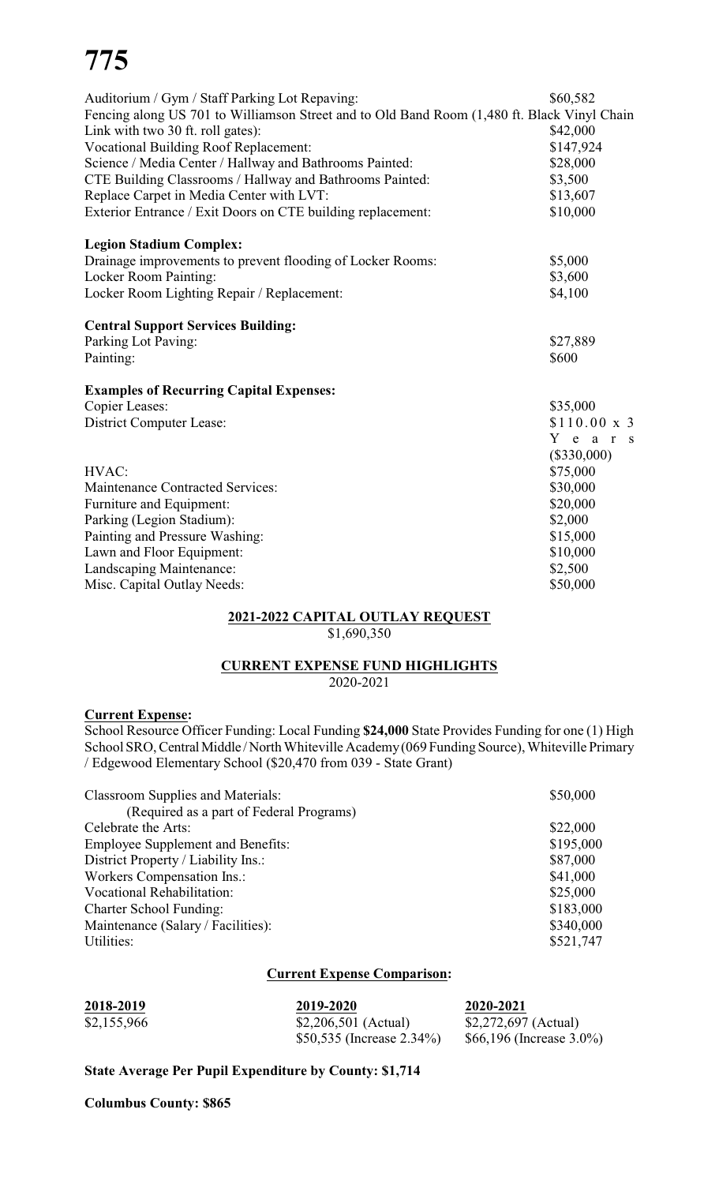# **775**

| Auditorium / Gym / Staff Parking Lot Repaving:<br>Fencing along US 701 to Williamson Street and to Old Band Room (1,480 ft. Black Vinyl Chain | \$60,582           |
|-----------------------------------------------------------------------------------------------------------------------------------------------|--------------------|
| Link with two 30 ft. roll gates):                                                                                                             | \$42,000           |
| <b>Vocational Building Roof Replacement:</b>                                                                                                  | \$147,924          |
| Science / Media Center / Hallway and Bathrooms Painted:                                                                                       | \$28,000           |
| CTE Building Classrooms / Hallway and Bathrooms Painted:                                                                                      | \$3,500            |
| Replace Carpet in Media Center with LVT:                                                                                                      | \$13,607           |
| Exterior Entrance / Exit Doors on CTE building replacement:                                                                                   | \$10,000           |
| <b>Legion Stadium Complex:</b>                                                                                                                |                    |
| Drainage improvements to prevent flooding of Locker Rooms:                                                                                    | \$5,000            |
| Locker Room Painting:                                                                                                                         | \$3,600            |
| Locker Room Lighting Repair / Replacement:                                                                                                    | \$4,100            |
| <b>Central Support Services Building:</b>                                                                                                     |                    |
| Parking Lot Paving:                                                                                                                           | \$27,889           |
| Painting:                                                                                                                                     | \$600              |
| <b>Examples of Recurring Capital Expenses:</b>                                                                                                |                    |
| <b>Copier Leases:</b>                                                                                                                         | \$35,000           |
| <b>District Computer Lease:</b>                                                                                                               | $$110.00 \times 3$ |
|                                                                                                                                               | Y e a r s          |
|                                                                                                                                               | $(\$330,000)$      |
| HVAC:                                                                                                                                         | \$75,000           |
| <b>Maintenance Contracted Services:</b>                                                                                                       | \$30,000           |
| Furniture and Equipment:                                                                                                                      | \$20,000           |
| Parking (Legion Stadium):                                                                                                                     | \$2,000            |
| Painting and Pressure Washing:                                                                                                                | \$15,000           |
| Lawn and Floor Equipment:                                                                                                                     | \$10,000           |
| Landscaping Maintenance:                                                                                                                      | \$2,500            |
| Misc. Capital Outlay Needs:                                                                                                                   | \$50,000           |
|                                                                                                                                               |                    |

#### **2021-2022 CAPITAL OUTLAY REQUEST** \$1,690,350

#### **CURRENT EXPENSE FUND HIGHLIGHTS** 2020-2021

#### **Current Expense:**

School Resource Officer Funding: Local Funding **\$24,000** State Provides Funding for one (1) High School SRO, Central Middle / North Whiteville Academy (069 Funding Source), Whiteville Primary / Edgewood Elementary School (\$20,470 from 039 - State Grant)

| <b>Classroom Supplies and Materials:</b> | \$50,000  |
|------------------------------------------|-----------|
| (Required as a part of Federal Programs) |           |
| Celebrate the Arts:                      | \$22,000  |
| <b>Employee Supplement and Benefits:</b> | \$195,000 |
| District Property / Liability Ins.:      | \$87,000  |
| <b>Workers Compensation Ins.:</b>        | \$41,000  |
| <b>Vocational Rehabilitation:</b>        | \$25,000  |
| <b>Charter School Funding:</b>           | \$183,000 |
| Maintenance (Salary / Facilities):       | \$340,000 |
| Utilities:                               | \$521,747 |

#### **Current Expense Comparison:**

| 2018-2019   | 2019-2020                     | 2020-2021                    |
|-------------|-------------------------------|------------------------------|
| \$2,155,966 | \$2,206,501 (Actual)          | \$2,272,697 (Actual)         |
|             | \$50,535 (Increase $2.34\%$ ) | \$66,196 (Increase $3.0\%$ ) |

### **State Average Per Pupil Expenditure by County: \$1,714**